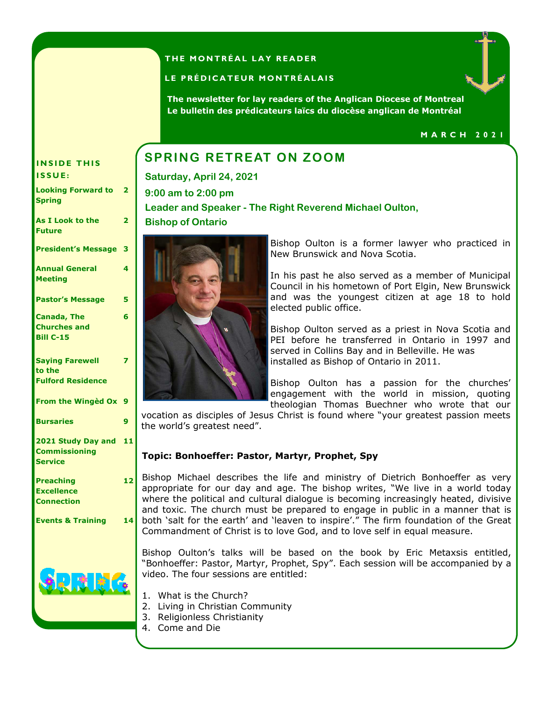# **THE MONTRÉAL LAY READER**

### LE PRÉDICATEUR MONTRÉALAIS

**The newsletter for lay readers of the Anglican Diocese of Montreal Le bulletin des prédicateurs laïcs du diocèse anglican de Montréal** 

### **M A R C H 2 0 2 1**

# **INSIDE THIS | SPRING RETREAT ON ZOOM**

**Saturday, April 24, 2021 9:00 am to 2:00 pm Leader and Speaker - The Right Reverend Michael Oulton, Bishop of Ontario** 



**I S S U E :** 

**Spring** 

**Future** 

**Meeting** 

**Looking Forward to** 

**President's Message 3** 

**Pastor's Message 5** 

**As I Look to the** 

**Annual General** 

**Canada, The Churches and Bill C-15** 

**Saying Farewell** 

**Fulford Residence** 

**Commissioning** 

**Service** 

**Preaching Excellence Connection** 

**From the Wingèd Ox 9** 

**Bursaries 9** 

**2021 Study Day and 11** 

**to the** 

**2** 

**2** 

**4** 

**6** 

**7** 

Bishop Oulton is a former lawyer who practiced in New Brunswick and Nova Scotia.

In his past he also served as a member of Municipal Council in his hometown of Port Elgin, New Brunswick and was the youngest citizen at age 18 to hold elected public office.

Bishop Oulton served as a priest in Nova Scotia and PEI before he transferred in Ontario in 1997 and served in Collins Bay and in Belleville. He was installed as Bishop of Ontario in 2011.

Bishop Oulton has a passion for the churches' engagement with the world in mission, quoting theologian Thomas Buechner who wrote that our

vocation as disciples of Jesus Christ is found where "your greatest passion meets the world's greatest need".

# **Topic: Bonhoeffer: Pastor, Martyr, Prophet, Spy**

**12 Events & Training 14**  Bishop Michael describes the life and ministry of Dietrich Bonhoeffer as very appropriate for our day and age. The bishop writes, "We live in a world today where the political and cultural dialogue is becoming increasingly heated, divisive and toxic. The church must be prepared to engage in public in a manner that is both 'salt for the earth' and 'leaven to inspire'." The firm foundation of the Great Commandment of Christ is to love God, and to love self in equal measure.

> Bishop Oulton's talks will be based on the book by Eric Metaxsis entitled, "Bonhoeffer: Pastor, Martyr, Prophet, Spy". Each session will be accompanied by a video. The four sessions are entitled:

- 1. What is the Church?
- 2. Living in Christian Community
- 3. Religionless Christianity
- 4. Come and Die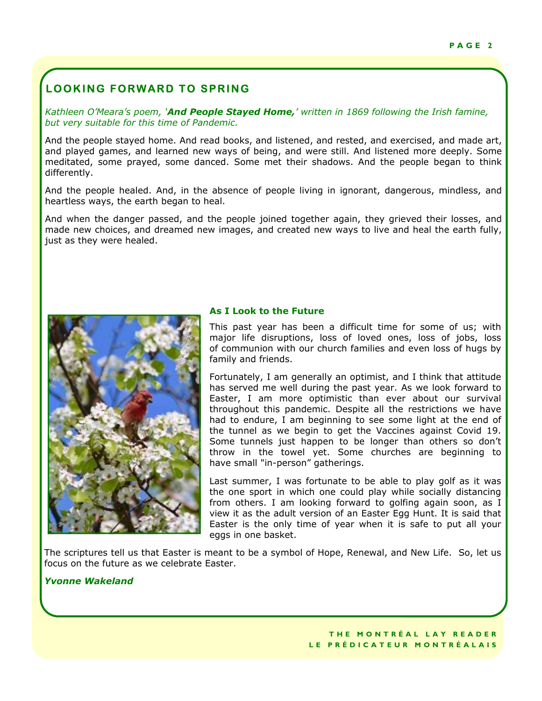# **LOOKING FORWARD TO SPRING**

*Kathleen O'Meara's poem, 'And People Stayed Home,' written in 1869 following the Irish famine, but very suitable for this time of Pandemic.* 

And the people stayed home. And read books, and listened, and rested, and exercised, and made art, and played games, and learned new ways of being, and were still. And listened more deeply. Some meditated, some prayed, some danced. Some met their shadows. And the people began to think differently.

And the people healed. And, in the absence of people living in ignorant, dangerous, mindless, and heartless ways, the earth began to heal.

And when the danger passed, and the people joined together again, they grieved their losses, and made new choices, and dreamed new images, and created new ways to live and heal the earth fully, just as they were healed.



# **As I Look to the Future**

This past year has been a difficult time for some of us; with major life disruptions, loss of loved ones, loss of jobs, loss of communion with our church families and even loss of hugs by family and friends.

Fortunately, I am generally an optimist, and I think that attitude has served me well during the past year. As we look forward to Easter, I am more optimistic than ever about our survival throughout this pandemic. Despite all the restrictions we have had to endure, I am beginning to see some light at the end of the tunnel as we begin to get the Vaccines against Covid 19. Some tunnels just happen to be longer than others so don't throw in the towel yet. Some churches are beginning to have small "in-person" gatherings.

Last summer, I was fortunate to be able to play golf as it was the one sport in which one could play while socially distancing from others. I am looking forward to golfing again soon, as I view it as the adult version of an Easter Egg Hunt. It is said that Easter is the only time of year when it is safe to put all your eggs in one basket.

The scriptures tell us that Easter is meant to be a symbol of Hope, Renewal, and New Life. So, let us focus on the future as we celebrate Easter.

# *Yvonne Wakeland*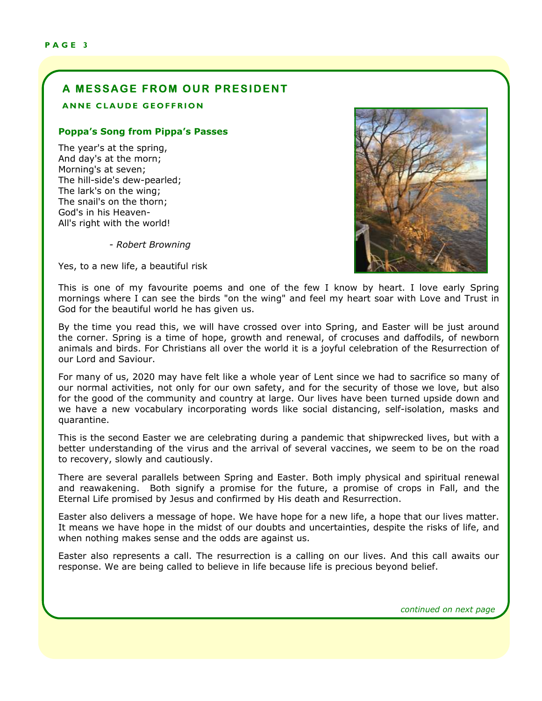# **A MESSAGE FROM OUR PRESIDENT**

### **ANNE CLAUDE GEOFFRION**

## **Poppa's Song from Pippa's Passes**

The year's at the spring, And day's at the morn; Morning's at seven; The hill-side's dew-pearled; The lark's on the wing; The snail's on the thorn; God's in his Heaven-All's right with the world!

*- Robert Browning* 

Yes, to a new life, a beautiful risk



This is one of my favourite poems and one of the few I know by heart. I love early Spring mornings where I can see the birds "on the wing" and feel my heart soar with Love and Trust in God for the beautiful world he has given us.

By the time you read this, we will have crossed over into Spring, and Easter will be just around the corner. Spring is a time of hope, growth and renewal, of crocuses and daffodils, of newborn animals and birds. For Christians all over the world it is a joyful celebration of the Resurrection of our Lord and Saviour.

For many of us, 2020 may have felt like a whole year of Lent since we had to sacrifice so many of our normal activities, not only for our own safety, and for the security of those we love, but also for the good of the community and country at large. Our lives have been turned upside down and we have a new vocabulary incorporating words like social distancing, self-isolation, masks and quarantine.

This is the second Easter we are celebrating during a pandemic that shipwrecked lives, but with a better understanding of the virus and the arrival of several vaccines, we seem to be on the road to recovery, slowly and cautiously.

There are several parallels between Spring and Easter. Both imply physical and spiritual renewal and reawakening. Both signify a promise for the future, a promise of crops in Fall, and the Eternal Life promised by Jesus and confirmed by His death and Resurrection.

Easter also delivers a message of hope. We have hope for a new life, a hope that our lives matter. It means we have hope in the midst of our doubts and uncertainties, despite the risks of life, and when nothing makes sense and the odds are against us.

Easter also represents a call. The resurrection is a calling on our lives. And this call awaits our response. We are being called to believe in life because life is precious beyond belief.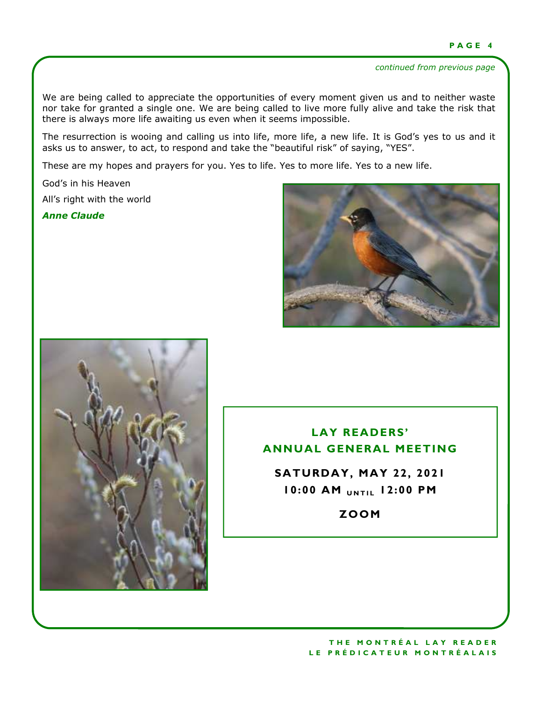### *continued from previous page*

We are being called to appreciate the opportunities of every moment given us and to neither waste nor take for granted a single one. We are being called to live more fully alive and take the risk that there is always more life awaiting us even when it seems impossible.

The resurrection is wooing and calling us into life, more life, a new life. It is God's yes to us and it asks us to answer, to act, to respond and take the "beautiful risk" of saying, "YES".

These are my hopes and prayers for you. Yes to life. Yes to more life. Yes to a new life.

God's in his Heaven All's right with the world

*Anne Claude* 





# **LAY READERS' ANNUAL GENERAL MEETING**

**SATURDAY, MAY 22, 2021 10:00 AM** *UNTIL* **12:00 PM** 

**ZOOM**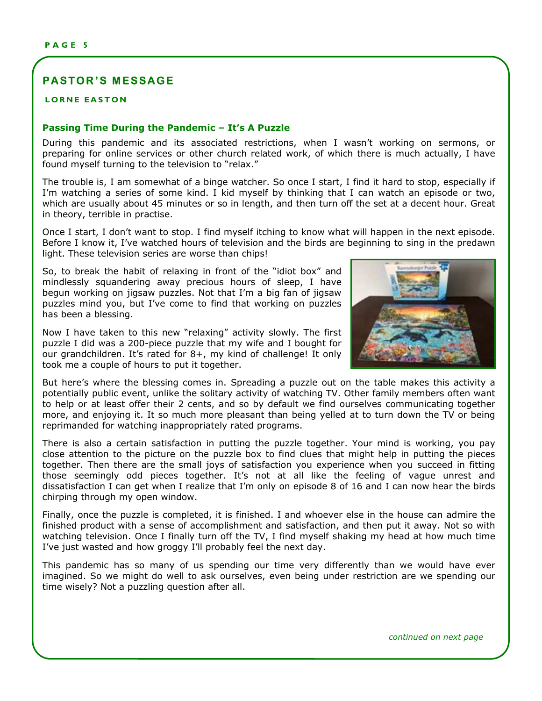# **PASTOR'S MESSAGE**

### **LORNE EASTON**

#### to the soul and health to the body? **Passing Time During the Pandemic – It's A Puzzle**

During this pandemic and its associated restrictions, when I wasn't working on sermons, or preparing for online services or other church related work, of which there is much actually, I have found myself turning to the television to "relax."

The trouble is, I am somewhat of a binge watcher. So once I start, I find it hard to stop, especially if I'm watching a series of some kind. I kid myself by thinking that I can watch an episode or two, which are usually about 45 minutes or so in length, and then turn off the set at a decent hour. Great in theory, terrible in practise.

*"….mission is to lead people in a growing relationship with Christ, by creating*  Once I start, I don't want to stop. I find myself itching to know what will happen in the next episode. Before I know it, I've watched hours of television and the birds are beginning to sing in the predawn light. These television series are worse than chips!

So, to break the habit of relaxing in front of the "idiot box" and  $\begin{bmatrix} 1 & 1 & 1 \\ 1 & 1 & 1 \\ 1 & 1 & 1 \end{bmatrix}$ mindlessly squandering away precious hours of sleep, I have **the complete with an 8-piece music band, his control** begun working on jigsaw puzzles. Not that I'm a big fan of jigsaw puzzles mind you, but I've come to find that working on puzzles series that I learned the answer to the answer to the answer to the riddle posed above. has been a blessing.

Now I have taken to this new "relaxing" activity slowly. The first puzzle I did was a 200-piece puzzle that my wife and I bought for the present the present of the preour grandchildren. It's rated for 8+, my kind of challenge! It only took me a couple of hours to put it together.



But here's where the blessing comes in. Spreading a puzzle out on the table makes this activity a potentially public event, unlike the solitary activity of watching TV. Other family members often want potentially paging grows, and the general y definity of matering received randity members stem hand-<br>to help or at least offer their 2 cents, and so by default we find ourselves communicating together come profit at react one. Then I center, and so by dendate the mid carbented communicating together.<br>more, and enjoying it. It so much more pleasant than being yelled at to turn down the TV or being reprimanded for watching inappropriately rated programs.

There is also a certain satisfaction in putting the puzzle together. Your mind is working, you pay mere to also a certain eateraction in parting the partie regerient from mind to norming, you pay together. Then there are the small joys of satisfaction you experience when you succeed in fitting those seemingly odd pieces together. It's not at all like the feeling of vague unrest and dissatisfaction I can get when I realize that I'm only on episode 8 of 16 and I can now hear the birds  $N<sub>1</sub>$  to identify and name those attitudes, habitatives, habits and practices at the practices at the practices and practices at the practices at the practices at the practices at  $N<sub>2</sub>$  and practices at  $N<sub>2</sub>$ chirping through my open window.

Finally, once the puzzle is completed, it is finished. I and whoever else in the house can admire the Finished product with a sense of accomplishment and satisfaction, and then put it away. Not so with results are product with a sense of accomplishment and satisfaction, and then put it away. Not so with mished product men't behove or decompnomient and batterdetion, and ener pack and, nece to ment I've just wasted and how groggy I'll probably feel the next day.

This pandemic has so many of us spending our time very differently than we would have ever the particular ride of them, or do operating our three rest, and one is many not model have over. magmear out of might as well to dok careentes, even being ander restriction are no openally call<br>time wisely? Not a puzzling question after all. ing question area and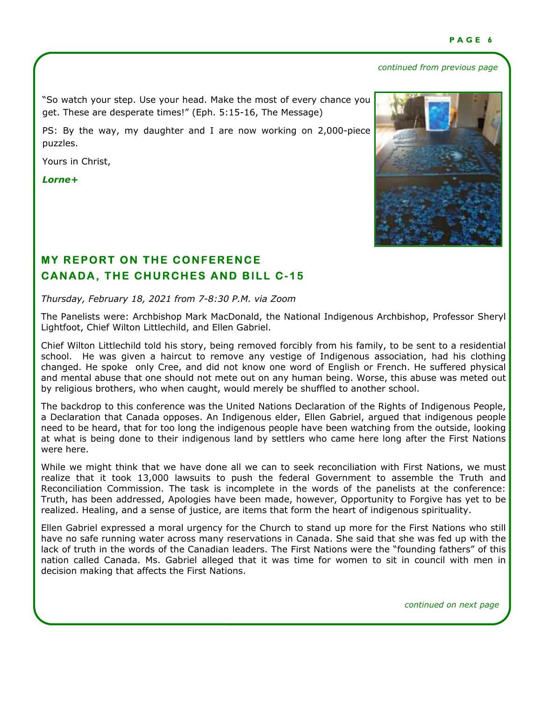### *continued from previous page*

"So watch your step. Use your head. Make the most of every chance you get. These are desperate times!" (Eph. 5:15-16, The Message)

PS: By the way, my daughter and I are now working on 2,000-piece puzzles.

Yours in Christ,

*Lorne+* 



# **MY REPORT ON THE CONFERENCE CANADA, THE CHURCHES AND BILL C-15**

*Thursday, February 18, 2021 from 7-8:30 P.M. via Zoom* 

The Panelists were: Archbishop Mark MacDonald, the National Indigenous Archbishop, Professor Sheryl Lightfoot, Chief Wilton Littlechild, and Ellen Gabriel.

Chief Wilton Littlechild told his story, being removed forcibly from his family, to be sent to a residential school. He was given a haircut to remove any vestige of Indigenous association, had his clothing changed. He spoke only Cree, and did not know one word of English or French. He suffered physical and mental abuse that one should not mete out on any human being. Worse, this abuse was meted out by religious brothers, who when caught, would merely be shuffled to another school.

The backdrop to this conference was the United Nations Declaration of the Rights of Indigenous People, a Declaration that Canada opposes. An Indigenous elder, Ellen Gabriel, argued that indigenous people need to be heard, that for too long the indigenous people have been watching from the outside, looking at what is being done to their indigenous land by settlers who came here long after the First Nations were here.

While we might think that we have done all we can to seek reconciliation with First Nations, we must realize that it took 13,000 lawsuits to push the federal Government to assemble the Truth and Reconciliation Commission. The task is incomplete in the words of the panelists at the conference: Truth, has been addressed, Apologies have been made, however, Opportunity to Forgive has yet to be realized. Healing, and a sense of justice, are items that form the heart of indigenous spirituality.

Ellen Gabriel expressed a moral urgency for the Church to stand up more for the First Nations who still have no safe running water across many reservations in Canada. She said that she was fed up with the lack of truth in the words of the Canadian leaders. The First Nations were the "founding fathers" of this nation called Canada. Ms. Gabriel alleged that it was time for women to sit in council with men in decision making that affects the First Nations.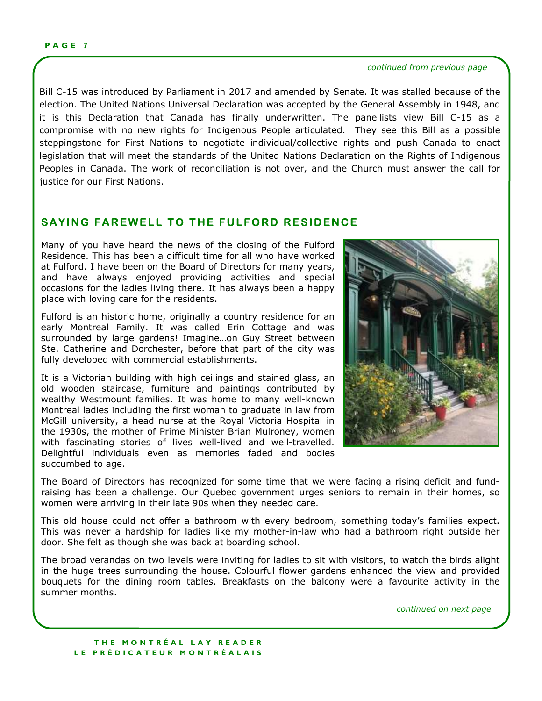#### *continued from previous page*

Bill C-15 was introduced by Parliament in 2017 and amended by Senate. It was stalled because of the election. The United Nations Universal Declaration was accepted by the General Assembly in 1948, and it is this Declaration that Canada has finally underwritten. The panellists view Bill C-15 as a compromise with no new rights for Indigenous People articulated. They see this Bill as a possible steppingstone for First Nations to negotiate individual/collective rights and push Canada to enact legislation that will meet the standards of the United Nations Declaration on the Rights of Indigenous Peoples in Canada. The work of reconciliation is not over, and the Church must answer the call for justice for our First Nations.

# **SAYING FAREWELL TO THE FULFORD RESIDENCE**

Many of you have heard the news of the closing of the Fulford Residence. This has been a difficult time for all who have worked at Fulford. I have been on the Board of Directors for many years, and have always enjoyed providing activities and special occasions for the ladies living there. It has always been a happy place with loving care for the residents.

Fulford is an historic home, originally a country residence for an early Montreal Family. It was called Erin Cottage and was surrounded by large gardens! Imagine…on Guy Street between Ste. Catherine and Dorchester, before that part of the city was fully developed with commercial establishments.

It is a Victorian building with high ceilings and stained glass, an old wooden staircase, furniture and paintings contributed by wealthy Westmount families. It was home to many well-known Montreal ladies including the first woman to graduate in law from McGill university, a head nurse at the Royal Victoria Hospital in the 1930s, the mother of Prime Minister Brian Mulroney, women with fascinating stories of lives well-lived and well-travelled. Delightful individuals even as memories faded and bodies succumbed to age.



The Board of Directors has recognized for some time that we were facing a rising deficit and fundraising has been a challenge. Our Quebec government urges seniors to remain in their homes, so women were arriving in their late 90s when they needed care.

This old house could not offer a bathroom with every bedroom, something today's families expect. This was never a hardship for ladies like my mother-in-law who had a bathroom right outside her door. She felt as though she was back at boarding school.

The broad verandas on two levels were inviting for ladies to sit with visitors, to watch the birds alight in the huge trees surrounding the house. Colourful flower gardens enhanced the view and provided bouquets for the dining room tables. Breakfasts on the balcony were a favourite activity in the summer months.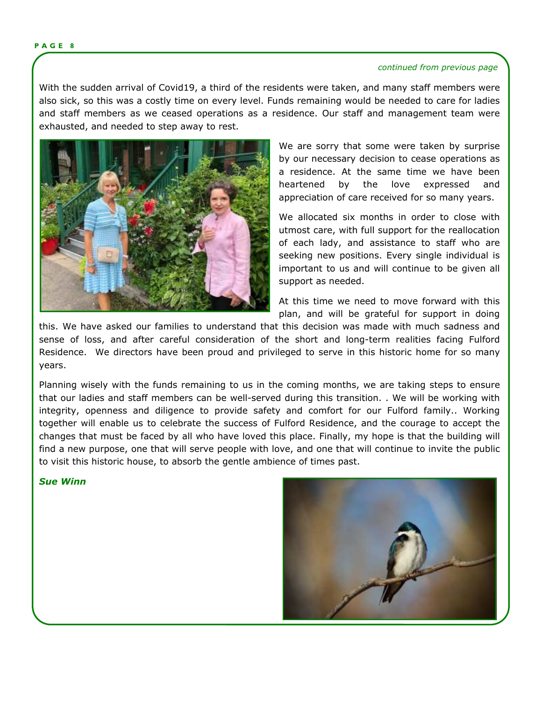#### **P A G E 8**

#### *continued from previous page*

With the sudden arrival of Covid19, a third of the residents were taken, and many staff members were also sick, so this was a costly time on every level. Funds remaining would be needed to care for ladies and staff members as we ceased operations as a residence. Our staff and management team were exhausted, and needed to step away to rest.



We are sorry that some were taken by surprise by our necessary decision to cease operations as a residence. At the same time we have been heartened by the love expressed and appreciation of care received for so many years.

We allocated six months in order to close with utmost care, with full support for the reallocation of each lady, and assistance to staff who are seeking new positions. Every single individual is important to us and will continue to be given all support as needed.

At this time we need to move forward with this plan, and will be grateful for support in doing

this. We have asked our families to understand that this decision was made with much sadness and sense of loss, and after careful consideration of the short and long-term realities facing Fulford Residence. We directors have been proud and privileged to serve in this historic home for so many years.

Planning wisely with the funds remaining to us in the coming months, we are taking steps to ensure that our ladies and staff members can be well-served during this transition. . We will be working with integrity, openness and diligence to provide safety and comfort for our Fulford family.. Working together will enable us to celebrate the success of Fulford Residence, and the courage to accept the changes that must be faced by all who have loved this place. Finally, my hope is that the building will find a new purpose, one that will serve people with love, and one that will continue to invite the public to visit this historic house, to absorb the gentle ambience of times past.

## *Sue Winn*

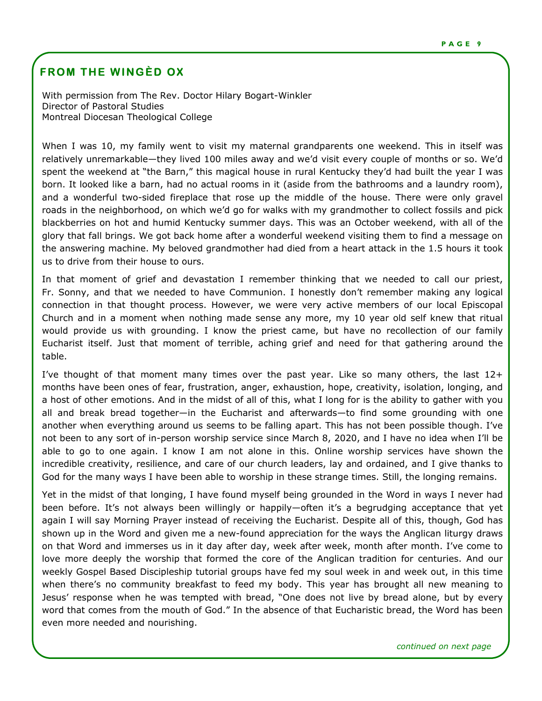# **FROM THE WINGÈD OX**

With permission from The Rev. Doctor Hilary Bogart-Winkler Director of Pastoral Studies Montreal Diocesan Theological College

When I was 10, my family went to visit my maternal grandparents one weekend. This in itself was relatively unremarkable—they lived 100 miles away and we'd visit every couple of months or so. We'd spent the weekend at "the Barn," this magical house in rural Kentucky they'd had built the year I was born. It looked like a barn, had no actual rooms in it (aside from the bathrooms and a laundry room), and a wonderful two-sided fireplace that rose up the middle of the house. There were only gravel roads in the neighborhood, on which we'd go for walks with my grandmother to collect fossils and pick blackberries on hot and humid Kentucky summer days. This was an October weekend, with all of the glory that fall brings. We got back home after a wonderful weekend visiting them to find a message on the answering machine. My beloved grandmother had died from a heart attack in the 1.5 hours it took us to drive from their house to ours.

In that moment of grief and devastation I remember thinking that we needed to call our priest, Fr. Sonny, and that we needed to have Communion. I honestly don't remember making any logical connection in that thought process. However, we were very active members of our local Episcopal Church and in a moment when nothing made sense any more, my 10 year old self knew that ritual would provide us with grounding. I know the priest came, but have no recollection of our family Eucharist itself. Just that moment of terrible, aching grief and need for that gathering around the table.

I've thought of that moment many times over the past year. Like so many others, the last  $12+$ months have been ones of fear, frustration, anger, exhaustion, hope, creativity, isolation, longing, and a host of other emotions. And in the midst of all of this, what I long for is the ability to gather with you all and break bread together—in the Eucharist and afterwards—to find some grounding with one another when everything around us seems to be falling apart. This has not been possible though. I've not been to any sort of in-person worship service since March 8, 2020, and I have no idea when I'll be able to go to one again. I know I am not alone in this. Online worship services have shown the incredible creativity, resilience, and care of our church leaders, lay and ordained, and I give thanks to God for the many ways I have been able to worship in these strange times. Still, the longing remains.

Yet in the midst of that longing, I have found myself being grounded in the Word in ways I never had been before. It's not always been willingly or happily—often it's a begrudging acceptance that yet again I will say Morning Prayer instead of receiving the Eucharist. Despite all of this, though, God has shown up in the Word and given me a new-found appreciation for the ways the Anglican liturgy draws on that Word and immerses us in it day after day, week after week, month after month. I've come to love more deeply the worship that formed the core of the Anglican tradition for centuries. And our weekly Gospel Based Discipleship tutorial groups have fed my soul week in and week out, in this time when there's no community breakfast to feed my body. This year has brought all new meaning to Jesus' response when he was tempted with bread, "One does not live by bread alone, but by every word that comes from the mouth of God." In the absence of that Eucharistic bread, the Word has been even more needed and nourishing.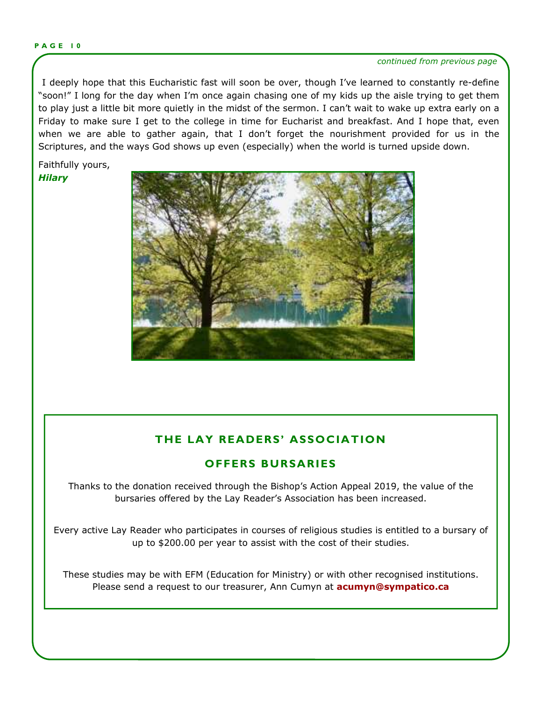#### **P A G E 1 0**

#### *continued from previous page*

 I deeply hope that this Eucharistic fast will soon be over, though I've learned to constantly re-define "soon!" I long for the day when I'm once again chasing one of my kids up the aisle trying to get them to play just a little bit more quietly in the midst of the sermon. I can't wait to wake up extra early on a Friday to make sure I get to the college in time for Eucharist and breakfast. And I hope that, even when we are able to gather again, that I don't forget the nourishment provided for us in the Scriptures, and the ways God shows up even (especially) when the world is turned upside down.

Faithfully yours, *Hilary* 



# **THE LAY READERS' ASSOCIATION**

# **OFFERS BURSARIES**

Thanks to the donation received through the Bishop's Action Appeal 2019, the value of the bursaries offered by the Lay Reader's Association has been increased.

Every active Lay Reader who participates in courses of religious studies is entitled to a bursary of up to \$200.00 per year to assist with the cost of their studies.

These studies may be with EFM (Education for Ministry) or with other recognised institutions. Please send a request to our treasurer, Ann Cumyn at **[acumyn@sympatico.ca](mailto:acumyn@sympatico.ca)**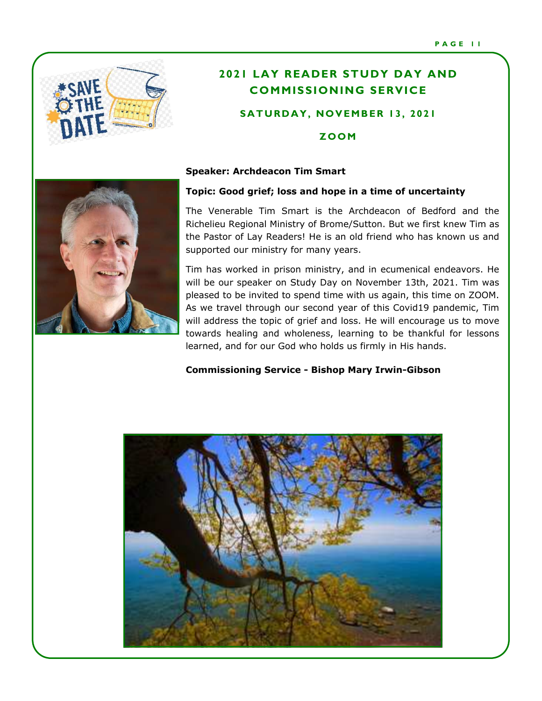

# **2021 LAY READER STUDY DAY AND COMMISSIONING SERVICE**

# **SATURDAY, NOVEMBER 13, 2021**

# **Z OOM**

### **Speaker: Archdeacon Tim Smart**



The Venerable Tim Smart is the Archdeacon of Bedford and the Richelieu Regional Ministry of Brome/Sutton. But we first knew Tim as the Pastor of Lay Readers! He is an old friend who has known us and supported our ministry for many years.

Tim has worked in prison ministry, and in ecumenical endeavors. He will be our speaker on Study Day on November 13th, 2021. Tim was pleased to be invited to spend time with us again, this time on ZOOM. As we travel through our second year of this Covid19 pandemic, Tim will address the topic of grief and loss. He will encourage us to move towards healing and wholeness, learning to be thankful for lessons learned, and for our God who holds us firmly in His hands.

# **Commissioning Service - Bishop Mary Irwin-Gibson**



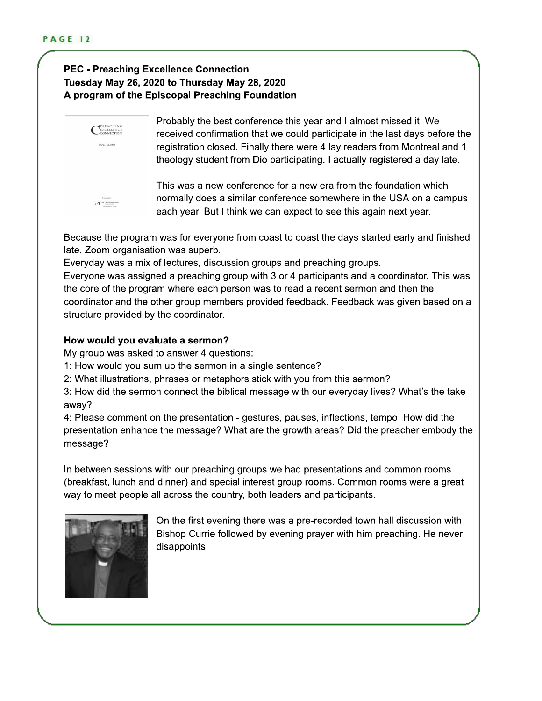# **PEC - Preaching Excellence Connection** Tuesday May 26, 2020 to Thursday May 28, 2020 A program of the Episcopal Preaching Foundation



Probably the best conference this year and I almost missed it. We received confirmation that we could participate in the last days before the registration closed. Finally there were 4 lay readers from Montreal and 1 theology student from Dio participating. I actually registered a day late.

This was a new conference for a new era from the foundation which normally does a similar conference somewhere in the USA on a campus each year. But I think we can expect to see this again next year.

Because the program was for everyone from coast to coast the days started early and finished late. Zoom organisation was superb.

Everyday was a mix of lectures, discussion groups and preaching groups.

Everyone was assigned a preaching group with 3 or 4 participants and a coordinator. This was the core of the program where each person was to read a recent sermon and then the coordinator and the other group members provided feedback. Feedback was given based on a structure provided by the coordinator.

# How would you evaluate a sermon?

My group was asked to answer 4 questions:

- 1: How would you sum up the sermon in a single sentence?
- 2: What illustrations, phrases or metaphors stick with you from this sermon?

3: How did the sermon connect the biblical message with our everyday lives? What's the take away?

4: Please comment on the presentation - gestures, pauses, inflections, tempo. How did the presentation enhance the message? What are the growth areas? Did the preacher embody the message?

In between sessions with our preaching groups we had presentations and common rooms (breakfast, lunch and dinner) and special interest group rooms. Common rooms were a great way to meet people all across the country, both leaders and participants.



On the first evening there was a pre-recorded town hall discussion with Bishop Currie followed by evening prayer with him preaching. He never disappoints.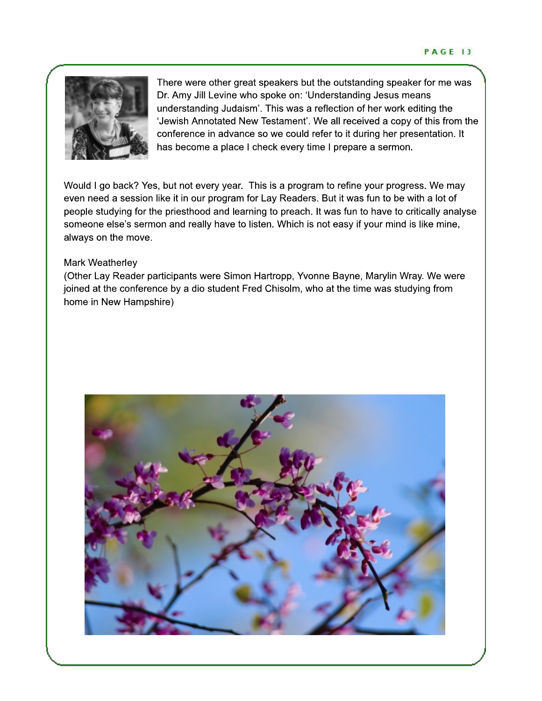

There were other great speakers but the outstanding speaker for me was Dr. Amy Jill Levine who spoke on: 'Understanding Jesus means understanding Judaism'. This was a reflection of her work editing the 'Jewish Annotated New Testament'. We all received a copy of this from the conference in advance so we could refer to it during her presentation. It has become a place I check every time I prepare a sermon.

Would I go back? Yes, but not every year. This is a program to refine your progress. We may even need a session like it in our program for Lay Readers. But it was fun to be with a lot of people studying for the priesthood and learning to preach. It was fun to have to critically analyse someone else's sermon and really have to listen. Which is not easy if your mind is like mine, always on the move.

# Mark Weatherley

(Other Lay Reader participants were Simon Hartropp, Yvonne Bayne, Marylin Wray. We were joined at the conference by a dio student Fred Chisolm, who at the time was studying from home in New Hampshire)